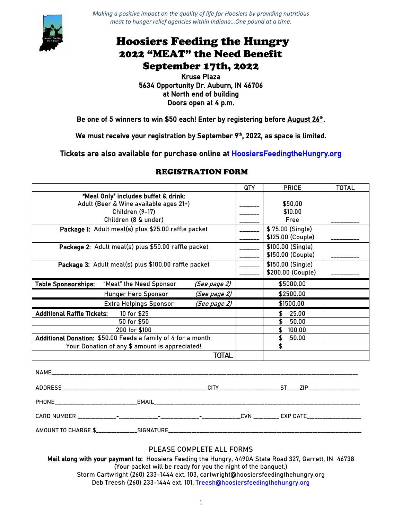

*Making a positive impact on the quality of life for Hoosiers by providing nutritious meat to hunger relief agencies within Indiana…One pound at a time.*

## Hoosiers Feeding the Hungry 2022 "MEAT" the Need Benefit September 17th, 2022

#### Kruse Plaza 5634 Opportunity Dr. Auburn, IN 46706 at North end of building Doors open at 4 p.m.

### Be one of 5 winners to win \$50 each! Enter by registering before August 26th.

We must receive your registration by September 9<sup>th</sup>, 2022, as space is limited.

Tickets are also available for purchase online at [HoosiersFeedingtheHungry.org](https://www.hoosiersfeedingthehungry.org/meat-the-need-benefit-2022/) 

|                                                              |              | QTY | <b>PRICE</b>      | <b>TOTAL</b> |
|--------------------------------------------------------------|--------------|-----|-------------------|--------------|
| "Meal Only" includes buffet & drink:                         |              |     |                   |              |
| Adult (Beer & Wine available ages 21+)                       |              |     | \$50.00           |              |
| Children (9-17)                                              |              |     | \$10.00           |              |
| Children (8 & under)                                         |              |     | Free              |              |
| Package 1: Adult meal(s) plus \$25.00 raffle packet          |              |     | \$75.00 (Single)  |              |
|                                                              |              |     | \$125.00 (Couple) |              |
| Package 2: Adult meal(s) plus \$50.00 raffle packet          |              |     | \$100.00 (Single) |              |
|                                                              |              |     | \$150.00 (Couple) |              |
| Package 3: Adult meal(s) plus \$100.00 raffle packet         |              |     | \$150.00 (Single) |              |
|                                                              |              |     | \$200.00 (Couple) |              |
| <b>Table Sponsorships:</b><br>"Meat" the Need Sponsor        | (See page 2) |     | \$5000.00         |              |
| Hunger Hero Sponsor                                          | (See page 2) |     | \$2500.00         |              |
| <b>Extra Helpings Sponsor</b>                                | (See page 2) |     | \$1500.00         |              |
| <b>Additional Raffle Tickets:</b><br>10 for \$25             |              |     | 25.00             |              |
| 50 for \$50                                                  |              |     | \$<br>50.00       |              |
| 200 for \$100                                                |              |     | \$.<br>100.00     |              |
| Additional Donation: \$50.00 Feeds a family of 4 for a month |              |     | \$<br>50.00       |              |
| Your Donation of any \$ amount is appreciated!               |              |     | \$                |              |
| TOTAL                                                        |              |     |                   |              |
|                                                              |              |     |                   |              |

### REGISTRATION FORM

| <b>NAME</b>                                         |      |  |            |
|-----------------------------------------------------|------|--|------------|
| <b>ADDRESS</b><br>_________________________________ | CITY |  | <b>ZIP</b> |
| <b>PHONE</b>                                        |      |  |            |
|                                                     |      |  |            |
| AMOUNT TO CHARGE \$_________________SIGNATURE_      |      |  |            |

#### **PLEASE COMPLETE ALL FORMS**

Mail along with your payment to: Hoosiers Feeding the Hungry, 4490A State Road 327, Garrett, IN 46738 (Your packet will be ready for you the night of the banquet.) Storm Cartwright (260) 233-1444 ext. 103, cartwright@hoosiersfeedingthehungry.org Deb Treesh (260) 233-1444 ext. 101, [Treesh@hoosiersfeedingthehungry.org](mailto:Treesh@hoosiersfeedingthehungry.org)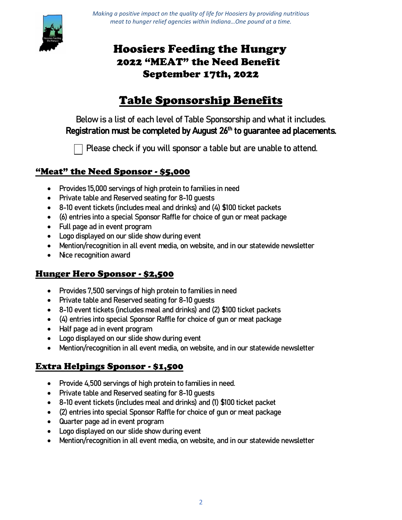

*Making a positive impact on the quality of life for Hoosiers by providing nutritious meat to hunger relief agencies within Indiana…One pound at a time.*

# Hoosiers Feeding the Hungry 2022 "MEAT" the Need Benefit September 17th, 2022

# Table Sponsorship Benefits

Below is a list of each level of Table Sponsorship and what it includes. Registration must be completed by August 26<sup>th</sup> to guarantee ad placements.

Please check if you will sponsor a table but are unable to attend.

## "Meat" the Need Sponsor - \$5,000

- Provides 15,000 servings of high protein to families in need
- Private table and Reserved seating for 8-10 guests
- 8-10 event tickets (includes meal and drinks) and (4) \$100 ticket packets
- (6) entries into a special Sponsor Raffle for choice of gun or meat package
- Full page ad in event program
- Logo displayed on our slide show during event
- Mention/recognition in all event media, on website, and in our statewide newsletter
- Nice recognition award

### Hunger Hero Sponsor - \$2,500

- Provides 7,500 servings of high protein to families in need
- Private table and Reserved seating for 8-10 guests
- 8-10 event tickets (includes meal and drinks) and (2) \$100 ticket packets
- (4) entries into special Sponsor Raffle for choice of gun or meat package
- Half page ad in event program
- Logo displayed on our slide show during event
- Mention/recognition in all event media, on website, and in our statewide newsletter

### Extra Helpings Sponsor - \$1,500

- Provide 4,500 servings of high protein to families in need.
- Private table and Reserved seating for 8-10 guests
- 8-10 event tickets (includes meal and drinks) and (1) \$100 ticket packet
- (2) entries into special Sponsor Raffle for choice of gun or meat package
- Quarter page ad in event program
- Logo displayed on our slide show during event
- Mention/recognition in all event media, on website, and in our statewide newsletter